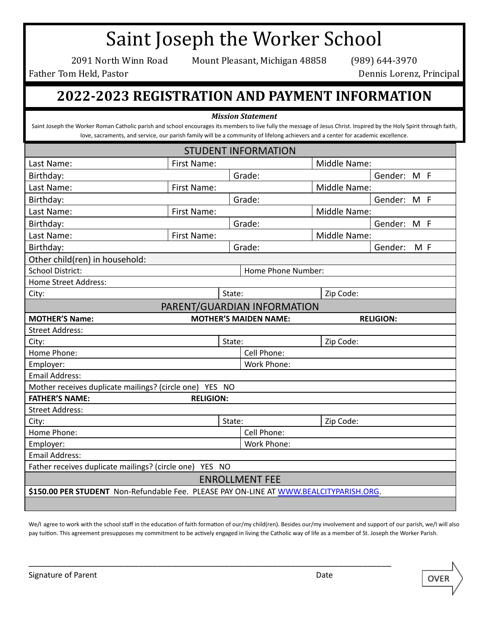## Saint Joseph the Worker School

2091 North Winn Road Mount Pleasant, Michigan 48858 (989) 644-3970

Father Tom Held, Pastor **Dennis Lorenz, Principal** 

## **2022-2023 REGISTRATION AND PAYMENT INFORMATION**

*Mission Statement*

Saint Joseph the Worker Roman Catholic parish and school encourages its members to live fully the message of Jesus Christ. Inspired by the Holy Spirit through faith, love, sacraments, and service, our parish family will be a community of lifelong achievers and a center for academic excellence.

|                                                                                        |                    | <b>STUDENT INFORMATION</b>   |                  |                |  |  |  |  |
|----------------------------------------------------------------------------------------|--------------------|------------------------------|------------------|----------------|--|--|--|--|
| Last Name:                                                                             | First Name:        |                              | Middle Name:     |                |  |  |  |  |
| Birthday:                                                                              |                    | Grade:                       |                  | Gender: M F    |  |  |  |  |
| Last Name:                                                                             | First Name:        |                              | Middle Name:     |                |  |  |  |  |
| Birthday:                                                                              |                    | Grade:                       |                  | Gender: M F    |  |  |  |  |
| Last Name:                                                                             | First Name:        |                              | Middle Name:     |                |  |  |  |  |
| Birthday:                                                                              |                    | Grade:                       |                  | Gender: M F    |  |  |  |  |
| Last Name:                                                                             | First Name:        |                              | Middle Name:     |                |  |  |  |  |
| Birthday:                                                                              |                    | Grade:                       |                  | Gender:<br>M F |  |  |  |  |
| Other child(ren) in household:                                                         |                    |                              |                  |                |  |  |  |  |
| <b>School District:</b>                                                                | Home Phone Number: |                              |                  |                |  |  |  |  |
| <b>Home Street Address:</b>                                                            |                    |                              |                  |                |  |  |  |  |
| City:                                                                                  |                    | State:                       | Zip Code:        |                |  |  |  |  |
| PARENT/GUARDIAN INFORMATION                                                            |                    |                              |                  |                |  |  |  |  |
| <b>MOTHER'S Name:</b>                                                                  |                    | <b>MOTHER'S MAIDEN NAME:</b> | <b>RELIGION:</b> |                |  |  |  |  |
| <b>Street Address:</b>                                                                 |                    |                              |                  |                |  |  |  |  |
| City:                                                                                  |                    | State:                       | Zip Code:        |                |  |  |  |  |
| Home Phone:                                                                            |                    | Cell Phone:                  |                  |                |  |  |  |  |
| Employer:                                                                              | Work Phone:        |                              |                  |                |  |  |  |  |
| <b>Email Address:</b>                                                                  |                    |                              |                  |                |  |  |  |  |
| Mother receives duplicate mailings? (circle one) YES NO                                |                    |                              |                  |                |  |  |  |  |
| <b>FATHER'S NAME:</b><br><b>RELIGION:</b>                                              |                    |                              |                  |                |  |  |  |  |
| <b>Street Address:</b>                                                                 |                    |                              |                  |                |  |  |  |  |
| City:                                                                                  |                    | State:                       | Zip Code:        |                |  |  |  |  |
| Home Phone:                                                                            |                    | Cell Phone:                  |                  |                |  |  |  |  |
| Employer:                                                                              |                    | Work Phone:                  |                  |                |  |  |  |  |
| <b>Email Address:</b>                                                                  |                    |                              |                  |                |  |  |  |  |
| Father receives duplicate mailings? (circle one) YES NO                                |                    |                              |                  |                |  |  |  |  |
| <b>ENROLLMENT FEE</b>                                                                  |                    |                              |                  |                |  |  |  |  |
| \$150.00 PER STUDENT Non-Refundable Fee. PLEASE PAY ON-LINE AT WWW.BEALCITYPARISH.ORG. |                    |                              |                  |                |  |  |  |  |
|                                                                                        |                    |                              |                  |                |  |  |  |  |

We/I agree to work with the school staff in the education of faith formation of our/my child(ren). Besides our/my involvement and support of our parish, we/I will also pay tuition. This agreement presupposes my commitment to be actively engaged in living the Catholic way of life as a member of St. Joseph the Worker Parish.

\_\_\_\_\_\_\_\_\_\_\_\_\_\_\_\_\_\_\_\_\_\_\_\_\_\_\_\_\_\_\_\_\_\_\_\_\_\_\_\_\_\_\_\_\_\_\_\_\_\_\_\_\_\_\_\_\_\_\_\_\_\_\_\_\_\_\_\_\_\_\_\_\_\_\_\_